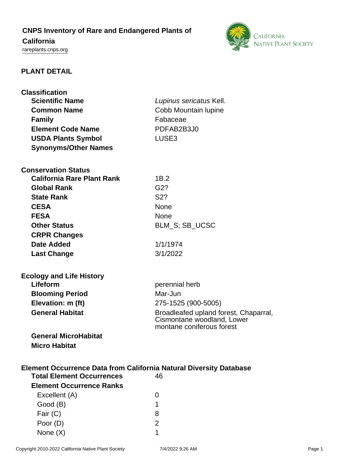# **CNPS Inventory of Rare and Endangered Plants of California**

<rareplants.cnps.org>



# **PLANT DETAIL**

| <b>Classification</b><br><b>Scientific Name</b><br><b>Common Name</b><br><b>Family</b><br><b>Element Code Name</b><br><b>USDA Plants Symbol</b><br><b>Synonyms/Other Names</b> | Lupinus sericatus Kell.<br>Cobb Mountain lupine<br>Fabaceae<br>PDFAB2B3J0<br>LUSE <sub>3</sub>   |
|--------------------------------------------------------------------------------------------------------------------------------------------------------------------------------|--------------------------------------------------------------------------------------------------|
| <b>Conservation Status</b>                                                                                                                                                     |                                                                                                  |
| <b>California Rare Plant Rank</b>                                                                                                                                              | 1B.2                                                                                             |
| <b>Global Rank</b>                                                                                                                                                             | G2?                                                                                              |
| <b>State Rank</b>                                                                                                                                                              | S <sub>2</sub> ?                                                                                 |
| <b>CESA</b>                                                                                                                                                                    | None                                                                                             |
| <b>FESA</b>                                                                                                                                                                    | None                                                                                             |
| <b>Other Status</b>                                                                                                                                                            | <b>BLM S: SB UCSC</b>                                                                            |
| <b>CRPR Changes</b>                                                                                                                                                            |                                                                                                  |
| Date Added                                                                                                                                                                     | 1/1/1974                                                                                         |
| <b>Last Change</b>                                                                                                                                                             | 3/1/2022                                                                                         |
| <b>Ecology and Life History</b>                                                                                                                                                |                                                                                                  |
| Lifeform                                                                                                                                                                       | perennial herb                                                                                   |
| <b>Blooming Period</b>                                                                                                                                                         | Mar-Jun                                                                                          |
| Elevation: m (ft)                                                                                                                                                              | 275-1525 (900-5005)                                                                              |
| <b>General Habitat</b>                                                                                                                                                         | Broadleafed upland forest, Chaparral,<br>Cismontane woodland, Lower<br>montane coniferous forest |
| <b>General MicroHabitat</b>                                                                                                                                                    |                                                                                                  |
| <b>Micro Habitat</b>                                                                                                                                                           |                                                                                                  |
| <b>Element Occurrence Data from California Natural Diversity Database</b>                                                                                                      |                                                                                                  |
| <b>Total Element Occurrences</b>                                                                                                                                               | 46                                                                                               |
| <b>Element Occurrence Ranks</b>                                                                                                                                                |                                                                                                  |
| Excellent (A)                                                                                                                                                                  | 0                                                                                                |
| Good (B)                                                                                                                                                                       | 1                                                                                                |
| Fair (C)                                                                                                                                                                       | 8                                                                                                |
| Poor (D)                                                                                                                                                                       | $\overline{2}$                                                                                   |

None (X) 1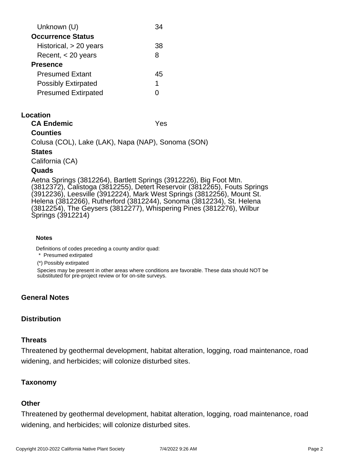| Unknown (U)                | ′⊀4 |
|----------------------------|-----|
| <b>Occurrence Status</b>   |     |
| Historical, $> 20$ years   | 38  |
| Recent, < 20 years         | 8   |
| <b>Presence</b>            |     |
| <b>Presumed Extant</b>     | 45  |
| <b>Possibly Extirpated</b> | 1   |
| <b>Presumed Extirpated</b> |     |

# **Location**

**CA Endemic** Yes

# **Counties**

Colusa (COL), Lake (LAK), Napa (NAP), Sonoma (SON)

#### **States**

California (CA)

#### **Quads**

Aetna Springs (3812264), Bartlett Springs (3912226), Big Foot Mtn. (3812372), Calistoga (3812255), Detert Reservoir (3812265), Fouts Springs (3912236), Leesville (3912224), Mark West Springs (3812256), Mount St. Helena (3812266), Rutherford (3812244), Sonoma (3812234), St. Helena (3812254), The Geysers (3812277), Whispering Pines (3812276), Wilbur Springs (3912214)

#### **Notes**

Definitions of codes preceding a county and/or quad:

\* Presumed extirpated

(\*) Possibly extirpated

Species may be present in other areas where conditions are favorable. These data should NOT be substituted for pre-project review or for on-site surveys.

# **General Notes**

# **Distribution**

# **Threats**

Threatened by geothermal development, habitat alteration, logging, road maintenance, road widening, and herbicides; will colonize disturbed sites.

# **Taxonomy**

# **Other**

Threatened by geothermal development, habitat alteration, logging, road maintenance, road widening, and herbicides; will colonize disturbed sites.